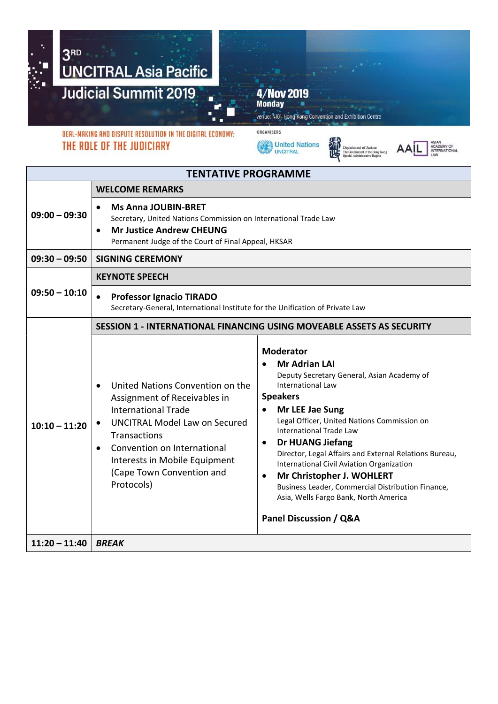

THE ROLE OF THE JUDICIARY

United Nations





| <b>TENTATIVE PROGRAMME</b> |                                                                                                                                                                                                                                                                                             |                                                                                                                                                                                                                                                                                                                                                                                                                                                                                                                                                                                    |  |  |
|----------------------------|---------------------------------------------------------------------------------------------------------------------------------------------------------------------------------------------------------------------------------------------------------------------------------------------|------------------------------------------------------------------------------------------------------------------------------------------------------------------------------------------------------------------------------------------------------------------------------------------------------------------------------------------------------------------------------------------------------------------------------------------------------------------------------------------------------------------------------------------------------------------------------------|--|--|
|                            | <b>WELCOME REMARKS</b>                                                                                                                                                                                                                                                                      |                                                                                                                                                                                                                                                                                                                                                                                                                                                                                                                                                                                    |  |  |
| $09:00 - 09:30$            | <b>Ms Anna JOUBIN-BRET</b><br>$\bullet$<br>Secretary, United Nations Commission on International Trade Law<br><b>Mr Justice Andrew CHEUNG</b><br>$\bullet$<br>Permanent Judge of the Court of Final Appeal, HKSAR                                                                           |                                                                                                                                                                                                                                                                                                                                                                                                                                                                                                                                                                                    |  |  |
| $09:30 - 09:50$            | <b>SIGNING CEREMONY</b>                                                                                                                                                                                                                                                                     |                                                                                                                                                                                                                                                                                                                                                                                                                                                                                                                                                                                    |  |  |
| $09:50 - 10:10$            | <b>KEYNOTE SPEECH</b>                                                                                                                                                                                                                                                                       |                                                                                                                                                                                                                                                                                                                                                                                                                                                                                                                                                                                    |  |  |
|                            | <b>Professor Ignacio TIRADO</b><br>$\bullet$<br>Secretary-General, International Institute for the Unification of Private Law                                                                                                                                                               |                                                                                                                                                                                                                                                                                                                                                                                                                                                                                                                                                                                    |  |  |
|                            | <b>SESSION 1 - INTERNATIONAL FINANCING USING MOVEABLE ASSETS AS SECURITY</b>                                                                                                                                                                                                                |                                                                                                                                                                                                                                                                                                                                                                                                                                                                                                                                                                                    |  |  |
| $10:10 - 11:20$            | United Nations Convention on the<br>Assignment of Receivables in<br><b>International Trade</b><br><b>UNCITRAL Model Law on Secured</b><br>$\bullet$<br>Transactions<br>Convention on International<br>$\bullet$<br>Interests in Mobile Equipment<br>(Cape Town Convention and<br>Protocols) | <b>Moderator</b><br><b>Mr Adrian LAI</b><br>Deputy Secretary General, Asian Academy of<br><b>International Law</b><br><b>Speakers</b><br>Mr LEE Jae Sung<br>$\bullet$<br>Legal Officer, United Nations Commission on<br><b>International Trade Law</b><br><b>Dr HUANG Jiefang</b><br>$\bullet$<br>Director, Legal Affairs and External Relations Bureau,<br>International Civil Aviation Organization<br>Mr Christopher J. WOHLERT<br>$\bullet$<br>Business Leader, Commercial Distribution Finance,<br>Asia, Wells Fargo Bank, North America<br><b>Panel Discussion / Q&amp;A</b> |  |  |
| $11:20 - 11:40$            | <b>BREAK</b>                                                                                                                                                                                                                                                                                |                                                                                                                                                                                                                                                                                                                                                                                                                                                                                                                                                                                    |  |  |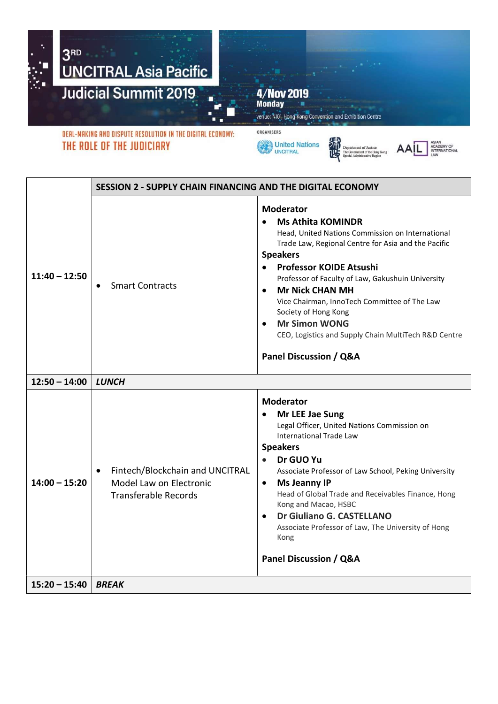

THE ROLE OF THE JUDICIARY





编版



|                 | SESSION 2 - SUPPLY CHAIN FINANCING AND THE DIGITAL ECONOMY                                             |                                                                                                                                                                                                                                                                                                                                                                                                                                                                                                             |  |
|-----------------|--------------------------------------------------------------------------------------------------------|-------------------------------------------------------------------------------------------------------------------------------------------------------------------------------------------------------------------------------------------------------------------------------------------------------------------------------------------------------------------------------------------------------------------------------------------------------------------------------------------------------------|--|
| $11:40 - 12:50$ | <b>Smart Contracts</b><br>$\bullet$                                                                    | <b>Moderator</b><br><b>Ms Athita KOMINDR</b><br>Head, United Nations Commission on International<br>Trade Law, Regional Centre for Asia and the Pacific<br><b>Speakers</b><br>Professor KOIDE Atsushi<br>Professor of Faculty of Law, Gakushuin University<br><b>Mr Nick CHAN MH</b><br>$\bullet$<br>Vice Chairman, InnoTech Committee of The Law<br>Society of Hong Kong<br><b>Mr Simon WONG</b><br>$\bullet$<br>CEO, Logistics and Supply Chain MultiTech R&D Centre<br><b>Panel Discussion / Q&amp;A</b> |  |
| $12:50 - 14:00$ | <b>LUNCH</b>                                                                                           |                                                                                                                                                                                                                                                                                                                                                                                                                                                                                                             |  |
| $14:00 - 15:20$ | Fintech/Blockchain and UNCITRAL<br>$\bullet$<br>Model Law on Electronic<br><b>Transferable Records</b> | <b>Moderator</b><br>Mr LEE Jae Sung<br>$\bullet$<br>Legal Officer, United Nations Commission on<br><b>International Trade Law</b><br><b>Speakers</b><br>Dr GUO Yu<br>$\bullet$<br>Associate Professor of Law School, Peking University<br><b>Ms Jeanny IP</b><br>$\bullet$<br>Head of Global Trade and Receivables Finance, Hong<br>Kong and Macao, HSBC<br>Dr Giuliano G. CASTELLANO<br>$\bullet$<br>Associate Professor of Law, The University of Hong<br>Kong<br>Panel Discussion / Q&A                  |  |
| $15:20 - 15:40$ | <b>BREAK</b>                                                                                           |                                                                                                                                                                                                                                                                                                                                                                                                                                                                                                             |  |